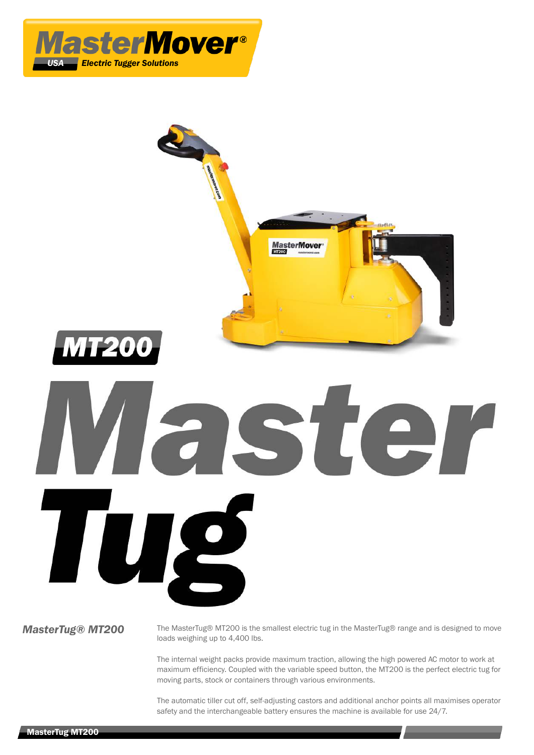



**MasterTug® MT200** The MasterTug® MT200 is the smallest electric tug in the MasterTug® range and is designed to move loads weighing up to 4,400 lbs.

> The internal weight packs provide maximum traction, allowing the high powered AC motor to work at maximum efficiency. Coupled with the variable speed button, the MT200 is the perfect electric tug for moving parts, stock or containers through various environments.

> The automatic tiller cut off, self-adjusting castors and additional anchor points all maximises operator safety and the interchangeable battery ensures the machine is available for use 24/7.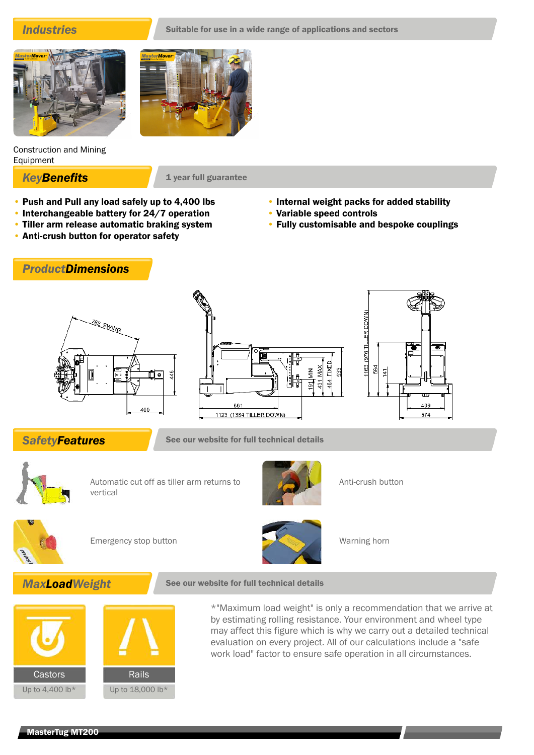

Construction and Mining Equipment

**KeyBenefits** 1 year full guarantee

- Push and Pull any load safely up to 4,400 lbs
- Interchangeable battery for 24/7 operation
- Tiller arm release automatic braking system
- Anti-crush button for operator safety
	- *ProductDimensions*







**SafetyFeatures** See our website for full technical details



Automatic cut off as tiller arm returns to vertical



Anti-crush button

• Internal weight packs for added stability

• Fully customisable and bespoke couplings

• Variable speed controls



Emergency stop button Warning horn







\*"Maximum load weight" is only a recommendation that we arrive at by estimating rolling resistance. Your environment and wheel type may affect this figure which is why we carry out a detailed technical evaluation on every project. All of our calculations include a "safe work load" factor to ensure safe operation in all circumstances.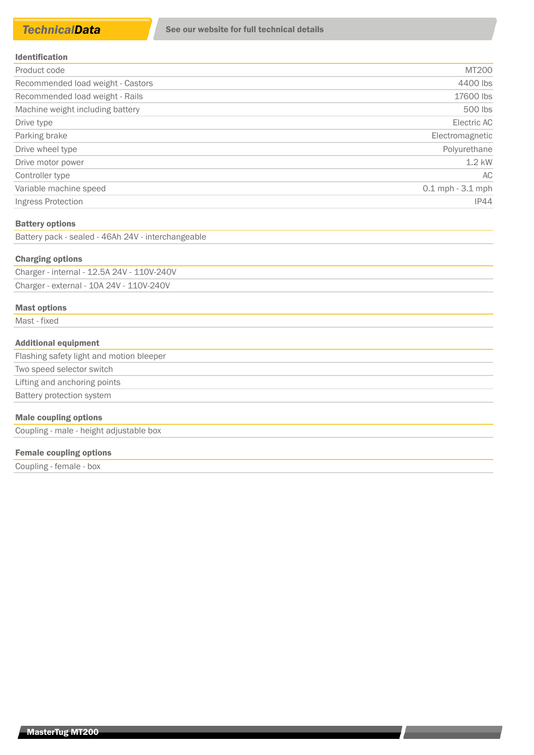| <b>Identification</b> |
|-----------------------|
|-----------------------|

| Product code                      | MT200                |
|-----------------------------------|----------------------|
| Recommended load weight - Castors | 4400 lbs             |
| Recommended load weight - Rails   | 17600 lbs            |
| Machine weight including battery  | 500 lbs              |
| Drive type                        | Electric AC          |
| Parking brake                     | Electromagnetic      |
| Drive wheel type                  | Polyurethane         |
| Drive motor power                 | $1.2$ kW             |
| Controller type                   | AC                   |
| Variable machine speed            | $0.1$ mph $-3.1$ mph |
| Ingress Protection                | IP44                 |

#### Battery options

Battery pack - sealed - 46Ah 24V - interchangeable

#### Charging options

| Charger - internal - 12.5A 24V - 110V-240V |  |
|--------------------------------------------|--|
| Charger - external - 10A 24V - 110V-240V   |  |

### Mast options

Mast - fixed

## Additional equipment

Flashing safety light and motion bleeper Two speed selector switch Lifting and anchoring points Battery protection system

# Male coupling options

Coupling - male - height adjustable box

### Female coupling options

Coupling - female - box